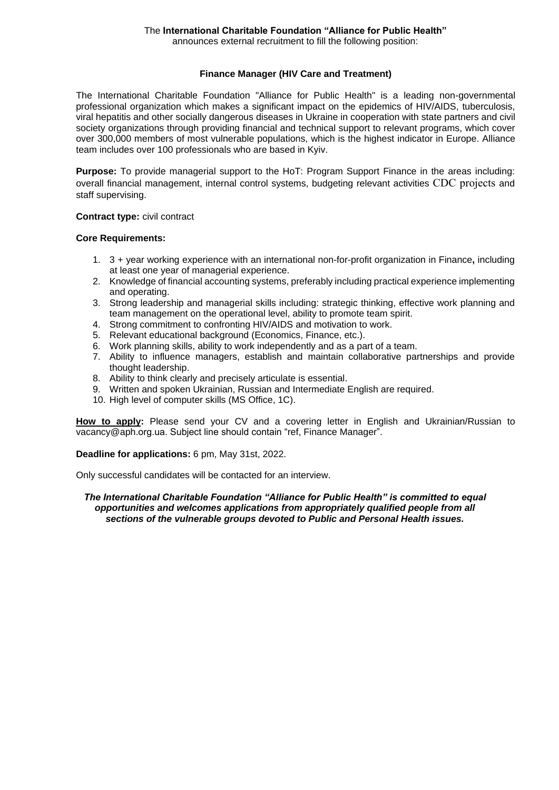announces external recruitment to fill the following position:

#### **Finance Manager (HIV Care and Treatment)**

The International Charitable Foundation "Alliance for Public Health" is a leading non-governmental professional organization which makes a significant impact on the epidemics of HIV/AIDS, tuberculosis, viral hepatitis and other socially dangerous diseases in Ukraine in cooperation with state partners and civil society organizations through providing financial and technical support to relevant programs, which cover over 300,000 members of most vulnerable populations, which is the highest indicator in Europe. Alliance team includes over 100 professionals who are based in Kyiv.

**Purpose:** To provide managerial support to the HoT: Program Support Finance in the areas including: overall financial management, internal control systems, budgeting relevant activities CDC projects and staff supervising.

#### **Contract type:** civil contract

#### **Core Requirements:**

- 1. 3 + year working experience with an international non-for-profit organization in Finance**,** including at least one year of managerial experience.
- 2. Knowledge of financial accounting systems, preferably including practical experience implementing and operating.
- 3. Strong leadership and managerial skills including: strategic thinking, effective work planning and team management on the operational level, ability to promote team spirit.
- 4. Strong commitment to confronting HIV/AIDS and motivation to work.
- 5. Relevant educational background (Economics, Finance, etc.).
- 6. Work planning skills, ability to work independently and as a part of a team.
- 7. Ability to influence managers, establish and maintain collaborative partnerships and provide thought leadership.
- 8. Ability to think clearly and precisely articulate is essential.
- 9. Written and spoken Ukrainian, Russian and Intermediate English are required.
- 10. High level of computer skills (MS Office, 1C).

**How to apply:** Please send your CV and a covering letter in English and Ukrainian/Russian to vacancy@aph.org.ua. Subject line should contain "ref, Finance Manager".

**Deadline for applications:** 6 pm, May 31st, 2022.

Only successful candidates will be contacted for an interview.

#### *The International Charitable Foundation "Alliance for Public Health" is committed to equal opportunities and welcomes applications from appropriately qualified people from all sections of the vulnerable groups devoted to Public and Personal Health issues.*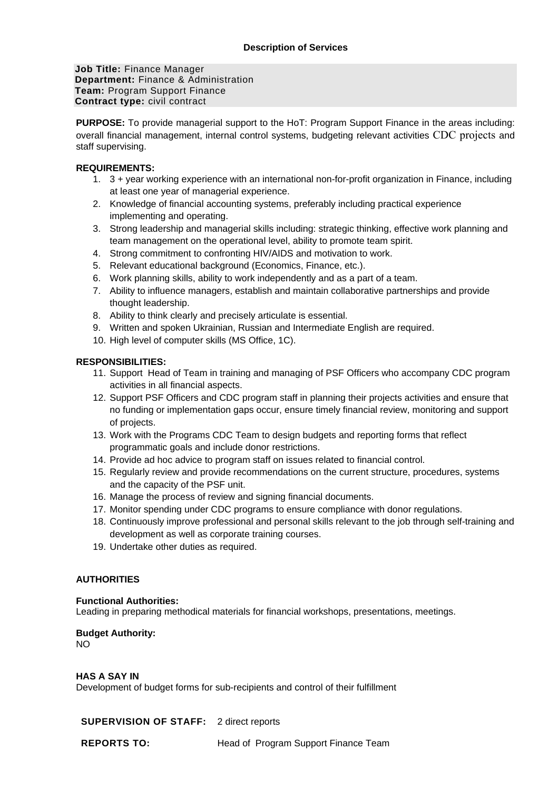**Job Title:** Finance Manager **Department:** Finance & Administration **Team:** Program Support Finance **Contract type:** civil contract

**PURPOSE:** To provide managerial support to the HoT: Program Support Finance in the areas including: overall financial management, internal control systems, budgeting relevant activities CDC projects and staff supervising.

# **REQUIREMENTS:**

- 1. 3 + year working experience with an international non-for-profit organization in Finance, including at least one year of managerial experience.
- 2. Knowledge of financial accounting systems, preferably including practical experience implementing and operating.
- 3. Strong leadership and managerial skills including: strategic thinking, effective work planning and team management on the operational level, ability to promote team spirit.
- 4. Strong commitment to confronting HIV/AIDS and motivation to work.
- 5. Relevant educational background (Economics, Finance, etc.).
- 6. Work planning skills, ability to work independently and as a part of a team.
- 7. Ability to influence managers, establish and maintain collaborative partnerships and provide thought leadership.
- 8. Ability to think clearly and precisely articulate is essential.
- 9. Written and spoken Ukrainian, Russian and Intermediate English are required.
- 10. High level of computer skills (MS Office, 1C).

# **RESPONSIBILITIES:**

- 11. Support Head of Team in training and managing of PSF Officers who accompany CDC program activities in all financial aspects.
- 12. Support PSF Officers and CDC program staff in planning their projects activities and ensure that no funding or implementation gaps occur, ensure timely financial review, monitoring and support of projects.
- 13. Work with the Programs CDC Team to design budgets and reporting forms that reflect programmatic goals and include donor restrictions.
- 14. Provide ad hoc advice to program staff on issues related to financial control.
- 15. Regularly review and provide recommendations on the current structure, procedures, systems and the capacity of the PSF unit.
- 16. Manage the process of review and signing financial documents.
- 17. Monitor spending under CDC programs to ensure compliance with donor regulations.
- 18. Continuously improve professional and personal skills relevant to the job through self-training and development as well as corporate training courses.
- 19. Undertake other duties as required.

# **AUTHORITIES**

#### **Functional Authorities:**

Leading in preparing methodical materials for financial workshops, presentations, meetings.

# **Budget Authority:**

NO

# **HAS A SAY IN**

Development of budget forms for sub-recipients and control of their fulfillment

**SUPERVISION OF STAFF:** 2 direct reports